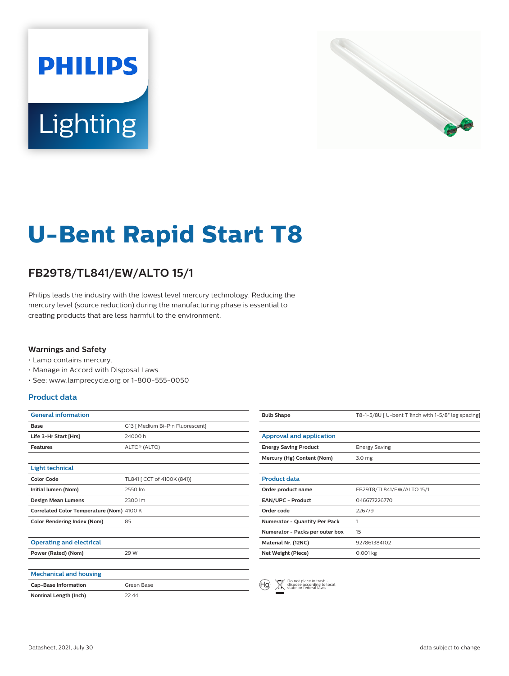



# **U-Bent Rapid Start T8**

## **FB29T8/TL841/EW/ALTO 15/1**

Philips leads the industry with the lowest level mercury technology. Reducing the mercury level (source reduction) during the manufacturing phase is essential to creating products that are less harmful to the environment.

#### **Warnings and Safety**

- Lamp contains mercury.
- Manage in Accord with Disposal Laws.
- See: www.lamprecycle.org or 1-800-555-0050

#### **Product data**

| <b>General information</b>                |                                  |
|-------------------------------------------|----------------------------------|
| Base                                      | G13   Medium Bi-Pin Fluorescent] |
| Life 3-Hr Start [Hrs]                     | 24000 h                          |
| <b>Features</b>                           | ALTO <sup>®</sup> (ALTO)         |
|                                           |                                  |
| <b>Light technical</b>                    |                                  |
| <b>Color Code</b>                         | TL841 [ CCT of 4100K (841)]      |
| Initial lumen (Nom)                       | 2550 lm                          |
| <b>Design Mean Lumens</b>                 | 2300 lm                          |
| Correlated Color Temperature (Nom) 4100 K |                                  |
| <b>Color Rendering Index (Nom)</b>        | 85                               |
|                                           |                                  |
| <b>Operating and electrical</b>           |                                  |
| Power (Rated) (Nom)                       | 29 W                             |
|                                           |                                  |
| <b>Mechanical and housing</b>             |                                  |
| <b>Cap-Base Information</b>               | Green Base                       |
| Nominal Length (Inch)                     | 22.44                            |
|                                           |                                  |

| <b>Bulb Shape</b>                    | T8-1-5/8U   U-bent T 1inch with 1-5/8" leg spacing |
|--------------------------------------|----------------------------------------------------|
|                                      |                                                    |
| <b>Approval and application</b>      |                                                    |
| <b>Energy Saving Product</b>         | <b>Energy Saving</b>                               |
| Mercury (Hg) Content (Nom)           | 3.0 <sub>mg</sub>                                  |
|                                      |                                                    |
| <b>Product data</b>                  |                                                    |
| Order product name                   | FB29T8/TL841/EW/ALTO 15/1                          |
| <b>EAN/UPC - Product</b>             | 046677226770                                       |
| Order code                           | 226779                                             |
| <b>Numerator - Quantity Per Pack</b> | 1                                                  |
| Numerator - Packs per outer box      | 15                                                 |
| Material Nr. (12NC)                  | 927861384102                                       |
| Net Weight (Piece)                   | $0.001$ kg                                         |
|                                      |                                                    |